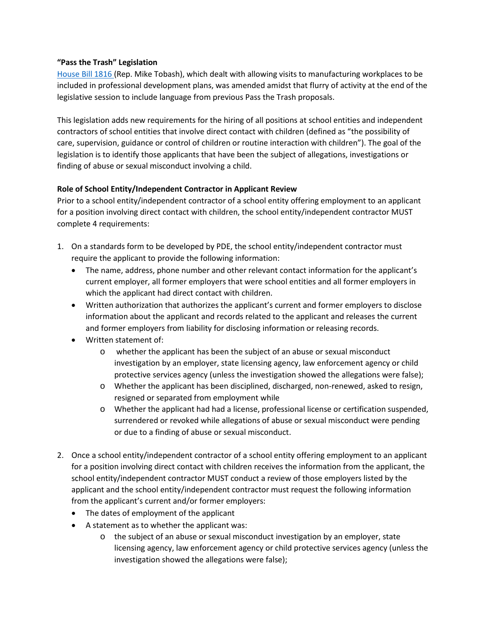### **"Pass the Trash" Legislation**

[House Bill 1816 \(](http://www.legis.state.pa.us/CFDOCS/Legis/PN/Public/btCheck.cfm?txtType=HTM&sessYr=2013&sessInd=0&billBody=H&billTyp=B&billNbr=1816&pn=4276)Rep. Mike Tobash), which dealt with allowing visits to manufacturing workplaces to be included in professional development plans, was amended amidst that flurry of activity at the end of the legislative session to include language from previous Pass the Trash proposals.

This legislation adds new requirements for the hiring of all positions at school entities and independent contractors of school entities that involve direct contact with children (defined as "the possibility of care, supervision, guidance or control of children or routine interaction with children"). The goal of the legislation is to identify those applicants that have been the subject of allegations, investigations or finding of abuse or sexual misconduct involving a child.

# **Role of School Entity/Independent Contractor in Applicant Review**

Prior to a school entity/independent contractor of a school entity offering employment to an applicant for a position involving direct contact with children, the school entity/independent contractor MUST complete 4 requirements:

- 1. On a standards form to be developed by PDE, the school entity/independent contractor must require the applicant to provide the following information:
	- The name, address, phone number and other relevant contact information for the applicant's current employer, all former employers that were school entities and all former employers in which the applicant had direct contact with children.
	- Written authorization that authorizes the applicant's current and former employers to disclose information about the applicant and records related to the applicant and releases the current and former employers from liability for disclosing information or releasing records.
	- Written statement of:
		- o whether the applicant has been the subject of an abuse or sexual misconduct investigation by an employer, state licensing agency, law enforcement agency or child protective services agency (unless the investigation showed the allegations were false);
		- o Whether the applicant has been disciplined, discharged, non-renewed, asked to resign, resigned or separated from employment while
		- o Whether the applicant had had a license, professional license or certification suspended, surrendered or revoked while allegations of abuse or sexual misconduct were pending or due to a finding of abuse or sexual misconduct.
- 2. Once a school entity/independent contractor of a school entity offering employment to an applicant for a position involving direct contact with children receives the information from the applicant, the school entity/independent contractor MUST conduct a review of those employers listed by the applicant and the school entity/independent contractor must request the following information from the applicant's current and/or former employers:
	- The dates of employment of the applicant
	- A statement as to whether the applicant was:
		- o the subject of an abuse or sexual misconduct investigation by an employer, state licensing agency, law enforcement agency or child protective services agency (unless the investigation showed the allegations were false);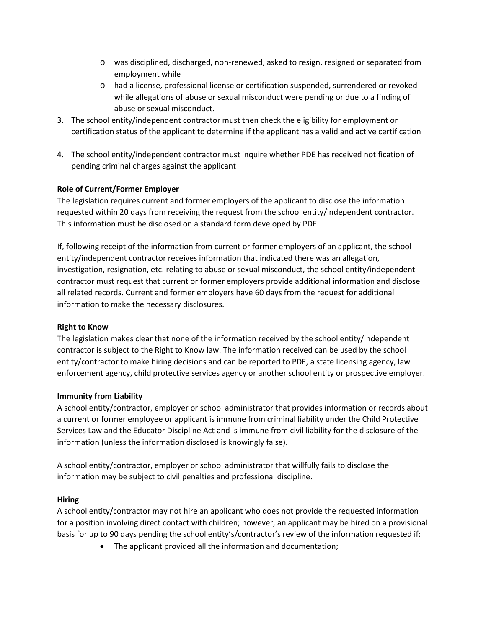- o was disciplined, discharged, non-renewed, asked to resign, resigned or separated from employment while
- o had a license, professional license or certification suspended, surrendered or revoked while allegations of abuse or sexual misconduct were pending or due to a finding of abuse or sexual misconduct.
- 3. The school entity/independent contractor must then check the eligibility for employment or certification status of the applicant to determine if the applicant has a valid and active certification
- 4. The school entity/independent contractor must inquire whether PDE has received notification of pending criminal charges against the applicant

# **Role of Current/Former Employer**

The legislation requires current and former employers of the applicant to disclose the information requested within 20 days from receiving the request from the school entity/independent contractor. This information must be disclosed on a standard form developed by PDE.

If, following receipt of the information from current or former employers of an applicant, the school entity/independent contractor receives information that indicated there was an allegation, investigation, resignation, etc. relating to abuse or sexual misconduct, the school entity/independent contractor must request that current or former employers provide additional information and disclose all related records. Current and former employers have 60 days from the request for additional information to make the necessary disclosures.

# **Right to Know**

The legislation makes clear that none of the information received by the school entity/independent contractor is subject to the Right to Know law. The information received can be used by the school entity/contractor to make hiring decisions and can be reported to PDE, a state licensing agency, law enforcement agency, child protective services agency or another school entity or prospective employer.

# **Immunity from Liability**

A school entity/contractor, employer or school administrator that provides information or records about a current or former employee or applicant is immune from criminal liability under the Child Protective Services Law and the Educator Discipline Act and is immune from civil liability for the disclosure of the information (unless the information disclosed is knowingly false).

A school entity/contractor, employer or school administrator that willfully fails to disclose the information may be subject to civil penalties and professional discipline.

# **Hiring**

A school entity/contractor may not hire an applicant who does not provide the requested information for a position involving direct contact with children; however, an applicant may be hired on a provisional basis for up to 90 days pending the school entity's/contractor's review of the information requested if:

• The applicant provided all the information and documentation;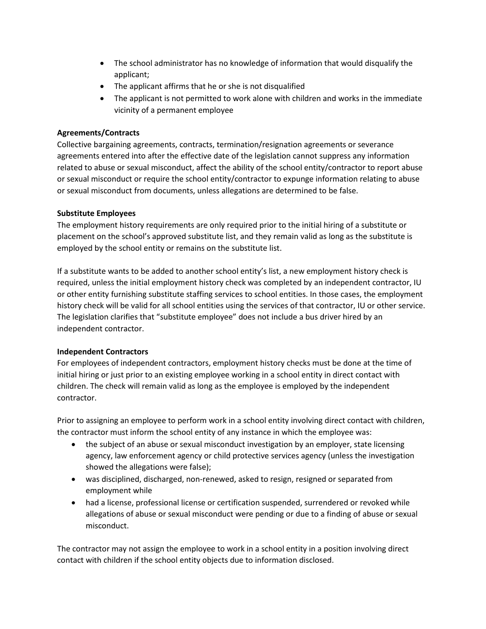- The school administrator has no knowledge of information that would disqualify the applicant;
- The applicant affirms that he or she is not disqualified
- The applicant is not permitted to work alone with children and works in the immediate vicinity of a permanent employee

### **Agreements/Contracts**

Collective bargaining agreements, contracts, termination/resignation agreements or severance agreements entered into after the effective date of the legislation cannot suppress any information related to abuse or sexual misconduct, affect the ability of the school entity/contractor to report abuse or sexual misconduct or require the school entity/contractor to expunge information relating to abuse or sexual misconduct from documents, unless allegations are determined to be false.

# **Substitute Employees**

The employment history requirements are only required prior to the initial hiring of a substitute or placement on the school's approved substitute list, and they remain valid as long as the substitute is employed by the school entity or remains on the substitute list.

If a substitute wants to be added to another school entity's list, a new employment history check is required, unless the initial employment history check was completed by an independent contractor, IU or other entity furnishing substitute staffing services to school entities. In those cases, the employment history check will be valid for all school entities using the services of that contractor, IU or other service. The legislation clarifies that "substitute employee" does not include a bus driver hired by an independent contractor.

# **Independent Contractors**

For employees of independent contractors, employment history checks must be done at the time of initial hiring or just prior to an existing employee working in a school entity in direct contact with children. The check will remain valid as long as the employee is employed by the independent contractor.

Prior to assigning an employee to perform work in a school entity involving direct contact with children, the contractor must inform the school entity of any instance in which the employee was:

- the subject of an abuse or sexual misconduct investigation by an employer, state licensing agency, law enforcement agency or child protective services agency (unless the investigation showed the allegations were false);
- was disciplined, discharged, non-renewed, asked to resign, resigned or separated from employment while
- had a license, professional license or certification suspended, surrendered or revoked while allegations of abuse or sexual misconduct were pending or due to a finding of abuse or sexual misconduct.

The contractor may not assign the employee to work in a school entity in a position involving direct contact with children if the school entity objects due to information disclosed.